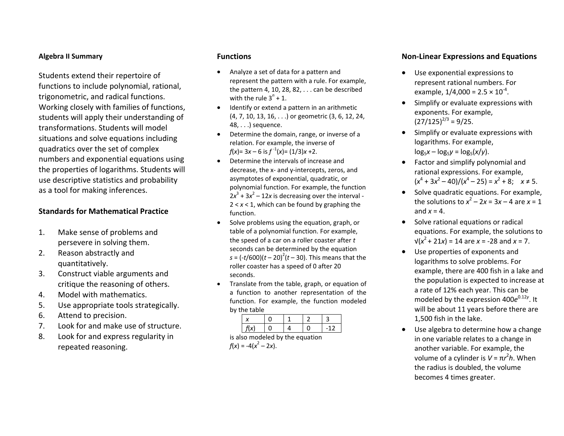#### **Algebra II Summary**

Students extend their repertoire of functions to include polynomial, rational, trigonometric, and radical functions. Working closely with families of functions, students will apply their understanding of transformations. Students will model situations and solve equations including quadratics over the set of complex numbers and exponential equations using the properties of logarithms. Students will use descriptive statistics and probability as a tool for making inferences.

### **Standards for Mathematical Practice**

- 1. Make sense of problems and persevere in solving them.
- 2. Reason abstractly and quantitatively.
- 3. Construct viable arguments and critique the reasoning of others.
- 4.Model with mathematics.
- 5.Use appropriate tools strategically.
- 6.Attend to precision.
- 7.Look for and make use of structure.
- 8. Look for and express regularity in repeated reasoning.

#### **Functions**

- . Analyze <sup>a</sup> set of data for <sup>a</sup> pattern and represent the pattern with <sup>a</sup> rule. For example, the pattern 4, 10, 28, 82, . . . can be described with the rule 3 $^n$  + 1.
- Identify or extend a pattern in an arithmetic (4, 7, 10, 13, 16, . . .) or geometric (3, 6, 12, 24, 48, . . .) sequence.
- 0 Determine the domain, range, or inverse of <sup>a</sup> relation. For example, the inverse of *f*(*x*)= 3*x* – 6 is  $f^{-1}(x) = (1/3)x + 2$ .
- 0 Determine the intervals of increase anddecrease, the <sup>x</sup>‐ and y‐intercepts, zeros, and asymptotes of exponential, quadratic, or polynomial function. For example, the function  $2x^3 + 3x^2 - 12x$  is decreasing over the interval -2 <sup>&</sup>lt; *<sup>x</sup>* <sup>&</sup>lt; 1, which can be found by graphing the function.
- 0 • Solve problems using the equation, graph, or table of <sup>a</sup> polynomial function. For example, the speed of <sup>a</sup> car on <sup>a</sup> roller coaster after *<sup>t</sup>* seconds can be determined by the equation  $s = (-t/600)(t - 20)^2(t - 30)$ . This means that the roller coaster has a speed of 0 after 20 seconds.
- . Translate from the table, graph, or equation of a function to another representation of the function. For example, the function modeled by the table

| . . |  |  |
|-----|--|--|
|     |  |  |

is also modeled by the equation  $f(x) = -4(x^2 - 2x)$ .

#### **Non‐Linear Expressions and Equations**

- $\bullet$  Use exponential expressions to represent rational numbers. For example, 1/4,000 = 2.5  $\times$  10  $^{4}$ .
- **•** Simplify or evaluate expressions with exponents. For example,  $(27/125)^{2/3}$  = 9/25.
- $\bullet$  Simplify or evaluate expressions with logarithms. For example,  $log_5 x - log_5 y = log_5(x/y)$ .
- Factor and simplify polynomial and rational expressions. For example,  $(x^4 + 3x^2 - 40)/(x^4 - 25) = x^2 + 8;$   $x \neq 5.$
- $\bullet$ **•** Solve quadratic equations. For example, the solutions to  $x^2 - 2x = 3x - 4$  are  $x = 1$ and*x* <sup>=</sup> 4.
- Solve rational equations or radical equations. For example, the solutions to √(*<sup>x</sup>* 2 + 21*<sup>x</sup>*) <sup>=</sup> 14 are *x* <sup>=</sup> ‐28 and*x* <sup>=</sup> 7.
- $\bullet$  Use properties of exponents and logarithms to solve problems. For example, there are 400 fish in <sup>a</sup> lake and the population is expected to increase at a rate of 12% each year. This can be modeled by the expression 400 $e^{0.12y}$ . It will be about 11 years before there are 1,500 fish in the lake.
- $\bullet$  Use algebra to determine how <sup>a</sup> change in one variable relates to <sup>a</sup> change in another variable. For example, the volume of <sup>a</sup> cylinder is *V* <sup>=</sup> π*r* 2 *h*. Whenthe radius is doubled, the volume becomes 4 times greater.